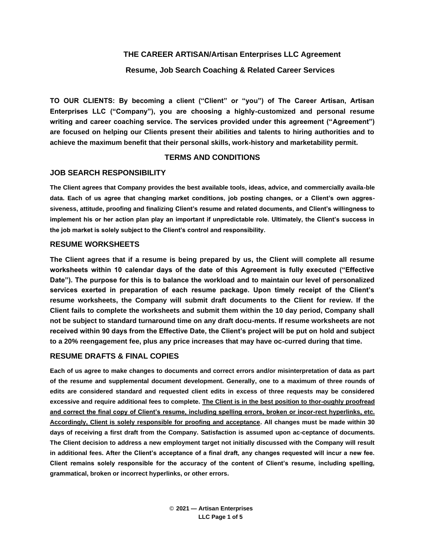# **THE CAREER ARTISAN/Artisan Enterprises LLC Agreement**

# **Resume, Job Search Coaching & Related Career Services**

**TO OUR CLIENTS: By becoming a client ("Client" or "you") of The Career Artisan, Artisan Enterprises LLC ("Company"), you are choosing a highly-customized and personal resume writing and career coaching service. The services provided under this agreement ("Agreement") are focused on helping our Clients present their abilities and talents to hiring authorities and to achieve the maximum benefit that their personal skills, work-history and marketability permit.**

# **TERMS AND CONDITIONS**

# **JOB SEARCH RESPONSIBILITY**

**The Client agrees that Company provides the best available tools, ideas, advice, and commercially availa-ble data. Each of us agree that changing market conditions, job posting changes, or a Client's own aggressiveness, attitude, proofing and finalizing Client's resume and related documents, and Client's willingness to implement his or her action plan play an important if unpredictable role. Ultimately, the Client's success in the job market is solely subject to the Client's control and responsibility.**

### **RESUME WORKSHEETS**

**The Client agrees that if a resume is being prepared by us, the Client will complete all resume worksheets within 10 calendar days of the date of this Agreement is fully executed ("Effective Date"). The purpose for this is to balance the workload and to maintain our level of personalized services exerted in preparation of each resume package. Upon timely receipt of the Client's resume worksheets, the Company will submit draft documents to the Client for review. If the Client fails to complete the worksheets and submit them within the 10 day period, Company shall not be subject to standard turnaround time on any draft docu-ments. If resume worksheets are not received within 90 days from the Effective Date, the Client's project will be put on hold and subject to a 20% reengagement fee, plus any price increases that may have oc-curred during that time.**

### **RESUME DRAFTS & FINAL COPIES**

**Each of us agree to make changes to documents and correct errors and/or misinterpretation of data as part of the resume and supplemental document development. Generally, one to a maximum of three rounds of edits are considered standard and requested client edits in excess of three requests may be considered excessive and require additional fees to complete. The Client is in the best position to thor-oughly proofread and correct the final copy of Client's resume, including spelling errors, broken or incor-rect hyperlinks, etc. Accordingly, Client is solely responsible for proofing and acceptance. All changes must be made within 30 days of receiving a first draft from the Company. Satisfaction is assumed upon ac-ceptance of documents. The Client decision to address a new employment target not initially discussed with the Company will result in additional fees. After the Client's acceptance of a final draft, any changes requested will incur a new fee. Client remains solely responsible for the accuracy of the content of Client's resume, including spelling, grammatical, broken or incorrect hyperlinks, or other errors.**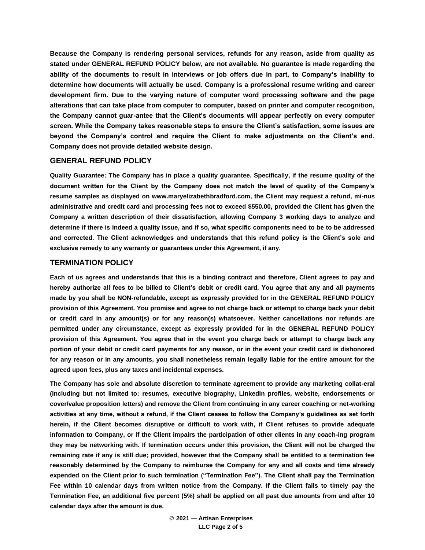**Because the Company is rendering personal services, refunds for any reason, aside from quality as stated under GENERAL REFUND POLICY below, are not available. No guarantee is made regarding the ability of the documents to result in interviews or job offers due in part, to Company's inability to determine how documents will actually be used. Company is a professional resume writing and career development firm. Due to the varying nature of computer word processing software and the page alterations that can take place from computer to computer, based on printer and computer recognition, the Company cannot guar-antee that the Client's documents will appear perfectly on every computer screen. While the Company takes reasonable steps to ensure the Client's satisfaction, some issues are beyond the Company's control and require the Client to make adjustments on the Client's end. Company does not provide detailed website design.**

#### **GENERAL REFUND POLICY**

**Quality Guarantee: The Company has in place a quality guarantee. Specifically, if the resume quality of the document written for the Client by the Company does not match the level of quality of the Company's resume samples as displayed on www.maryelizabethbradford.com, the Client may request a refund, mi-nus administrative and credit card and processing fees not to exceed \$550.00, provided the Client has given the Company a written description of their dissatisfaction, allowing Company 3 working days to analyze and determine if there is indeed a quality issue, and if so, what specific components need to be to be addressed and corrected. The Client acknowledges and understands that this refund policy is the Client's sole and exclusive remedy to any warranty or guarantees under this Agreement, if any.**

#### **TERMINATION POLICY**

**Each of us agrees and understands that this is a binding contract and therefore, Client agrees to pay and hereby authorize all fees to be billed to Client's debit or credit card. You agree that any and all payments made by you shall be NON-refundable, except as expressly provided for in the GENERAL REFUND POLICY provision of this Agreement. You promise and agree to not charge back or attempt to charge back your debit or credit card in any amount(s) or for any reason(s) whatsoever. Neither cancellations nor refunds are permitted under any circumstance, except as expressly provided for in the GENERAL REFUND POLICY provision of this Agreement. You agree that in the event you charge back or attempt to charge back any portion of your debit or credit card payments for any reason, or in the event your credit card is dishonored for any reason or in any amounts, you shall nonetheless remain legally liable for the entire amount for the agreed upon fees, plus any taxes and incidental expenses.**

**The Company has sole and absolute discretion to terminate agreement to provide any marketing collat-eral (including but not limited to: resumes, executive biography, LinkedIn profiles, website, endorsements or cover/value proposition letters) and remove the Client from continuing in any career coaching or net-working activities at any time, without a refund, if the Client ceases to follow the Company's guidelines as set forth herein, if the Client becomes disruptive or difficult to work with, if Client refuses to provide adequate information to Company, or if the Client impairs the participation of other clients in any coach-ing program they may be networking with. If termination occurs under this provision, the Client will not be charged the remaining rate if any is still due; provided, however that the Company shall be entitled to a termination fee reasonably determined by the Company to reimburse the Company for any and all costs and time already expended on the Client prior to such termination ("Termination Fee"). The Client shall pay the Termination Fee within 10 calendar days from written notice from the Company. If the Client fails to timely pay the Termination Fee, an additional five percent (5%) shall be applied on all past due amounts from and after 10 calendar days after the amount is due.**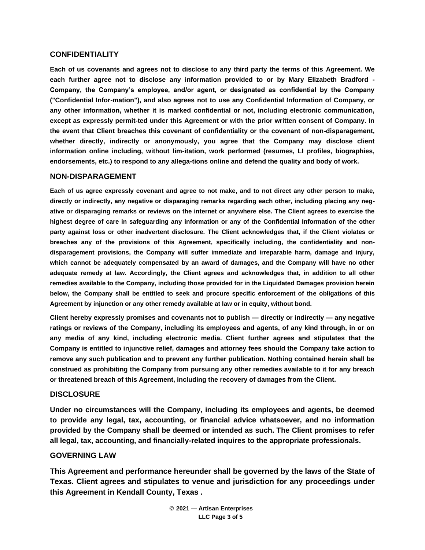### **CONFIDENTIALITY**

**Each of us covenants and agrees not to disclose to any third party the terms of this Agreement. We each further agree not to disclose any information provided to or by Mary Elizabeth Bradford - Company, the Company's employee, and/or agent, or designated as confidential by the Company ("Confidential Infor-mation"), and also agrees not to use any Confidential Information of Company, or any other information, whether it is marked confidential or not, including electronic communication, except as expressly permit-ted under this Agreement or with the prior written consent of Company. In the event that Client breaches this covenant of confidentiality or the covenant of non-disparagement, whether directly, indirectly or anonymously, you agree that the Company may disclose client information online including, without lim-itation, work performed (resumes, LI profiles, biographies, endorsements, etc.) to respond to any allega-tions online and defend the quality and body of work.**

#### **NON-DISPARAGEMENT**

**Each of us agree expressly covenant and agree to not make, and to not direct any other person to make, directly or indirectly, any negative or disparaging remarks regarding each other, including placing any negative or disparaging remarks or reviews on the internet or anywhere else. The Client agrees to exercise the highest degree of care in safeguarding any information or any of the Confidential Information of the other party against loss or other inadvertent disclosure. The Client acknowledges that, if the Client violates or breaches any of the provisions of this Agreement, specifically including, the confidentiality and nondisparagement provisions, the Company will suffer immediate and irreparable harm, damage and injury, which cannot be adequately compensated by an award of damages, and the Company will have no other adequate remedy at law. Accordingly, the Client agrees and acknowledges that, in addition to all other remedies available to the Company, including those provided for in the Liquidated Damages provision herein below, the Company shall be entitled to seek and procure specific enforcement of the obligations of this Agreement by injunction or any other remedy available at law or in equity, without bond.**

**Client hereby expressly promises and covenants not to publish — directly or indirectly — any negative ratings or reviews of the Company, including its employees and agents, of any kind through, in or on any media of any kind, including electronic media. Client further agrees and stipulates that the Company is entitled to injunctive relief, damages and attorney fees should the Company take action to remove any such publication and to prevent any further publication. Nothing contained herein shall be construed as prohibiting the Company from pursuing any other remedies available to it for any breach or threatened breach of this Agreement, including the recovery of damages from the Client.**

#### **DISCLOSURE**

**Under no circumstances will the Company, including its employees and agents, be deemed to provide any legal, tax, accounting, or financial advice whatsoever, and no information provided by the Company shall be deemed or intended as such. The Client promises to refer all legal, tax, accounting, and financially-related inquires to the appropriate professionals.**

### **GOVERNING LAW**

**This Agreement and performance hereunder shall be governed by the laws of the State of Texas. Client agrees and stipulates to venue and jurisdiction for any proceedings under this Agreement in Kendall County, Texas .**

> © **2021 — Artisan Enterprises LLC Page 3 of 5**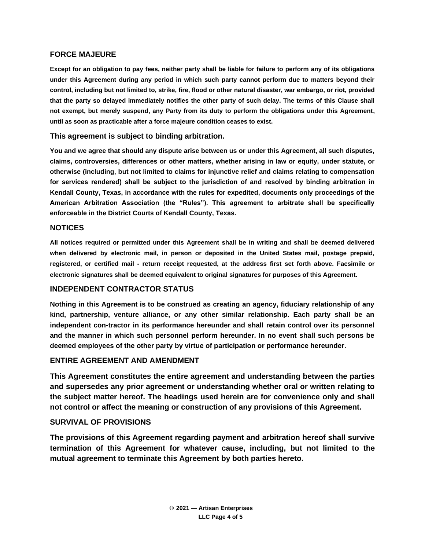### **FORCE MAJEURE**

**Except for an obligation to pay fees, neither party shall be liable for failure to perform any of its obligations under this Agreement during any period in which such party cannot perform due to matters beyond their control, including but not limited to, strike, fire, flood or other natural disaster, war embargo, or riot, provided that the party so delayed immediately notifies the other party of such delay. The terms of this Clause shall not exempt, but merely suspend, any Party from its duty to perform the obligations under this Agreement, until as soon as practicable after a force majeure condition ceases to exist.**

#### **This agreement is subject to binding arbitration.**

**You and we agree that should any dispute arise between us or under this Agreement, all such disputes, claims, controversies, differences or other matters, whether arising in law or equity, under statute, or otherwise (including, but not limited to claims for injunctive relief and claims relating to compensation for services rendered) shall be subject to the jurisdiction of and resolved by binding arbitration in Kendall County, Texas, in accordance with the rules for expedited, documents only proceedings of the American Arbitration Association (the "Rules"). This agreement to arbitrate shall be specifically enforceable in the District Courts of Kendall County, Texas.**

#### **NOTICES**

**All notices required or permitted under this Agreement shall be in writing and shall be deemed delivered when delivered by electronic mail, in person or deposited in the United States mail, postage prepaid, registered, or certified mail - return receipt requested, at the address first set forth above. Facsimile or electronic signatures shall be deemed equivalent to original signatures for purposes of this Agreement.**

# **INDEPENDENT CONTRACTOR STATUS**

**Nothing in this Agreement is to be construed as creating an agency, fiduciary relationship of any kind, partnership, venture alliance, or any other similar relationship. Each party shall be an independent con-tractor in its performance hereunder and shall retain control over its personnel and the manner in which such personnel perform hereunder. In no event shall such persons be deemed employees of the other party by virtue of participation or performance hereunder.**

### **ENTIRE AGREEMENT AND AMENDMENT**

**This Agreement constitutes the entire agreement and understanding between the parties and supersedes any prior agreement or understanding whether oral or written relating to the subject matter hereof. The headings used herein are for convenience only and shall not control or affect the meaning or construction of any provisions of this Agreement.**

### **SURVIVAL OF PROVISIONS**

**The provisions of this Agreement regarding payment and arbitration hereof shall survive termination of this Agreement for whatever cause, including, but not limited to the mutual agreement to terminate this Agreement by both parties hereto.**